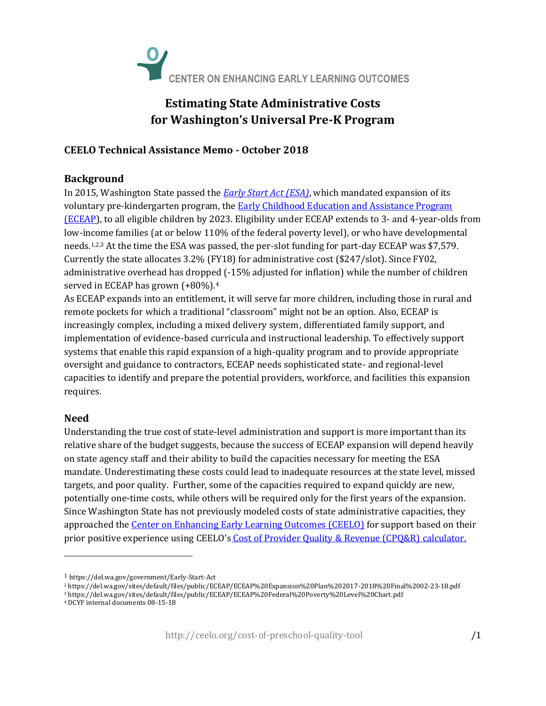

# **Estimating State Administrative Costs for Washington's Universal Pre-K Program**

## **CEELO Technical Assistance Memo - October 2018**

### **Background**

In 2015, Washington State passed the *[Early Start Act \(ESA\)](http://apps2.leg.wa.gov/billsummary?BillNumber=1491&Year=2015&BillNumber=1491&Year=2015)*, which mandated expansion of its voluntary pre-kindergarten program, the **Early Childhood Education and Assistance Program** [\(ECEAP\)](http://www.dcyf.wa.gov/services/earlylearning-childcare/eceap-headstart), to all eligible children by 2023. Eligibility under ECEAP extends to 3- and 4-year-olds from low-income families (at or below 110% of the federal poverty level), or who have developmental needs.1,2,3 At the time the ESA was passed, the per-slot funding for part-day ECEAP was \$7,579. Currently the state allocates 3.2% (FY18) for administrative cost (\$247/slot). Since FY02, administrative overhead has dropped (-15% adjusted for inflation) while the number of children served in ECEAP has grown (+80%).<sup>4</sup>

As ECEAP expands into an entitlement, it will serve far more children, including those in rural and remote pockets for which a traditional "classroom" might not be an option. Also, ECEAP is increasingly complex, including a mixed delivery system, differentiated family support, and implementation of evidence-based curricula and instructional leadership. To effectively support systems that enable this rapid expansion of a high-quality program and to provide appropriate oversight and guidance to contractors, ECEAP needs sophisticated state- and regional-level capacities to identify and prepare the potential providers, workforce, and facilities this expansion requires.

# **Need**

l

Understanding the true cost of state-level administration and support is more important than its relative share of the budget suggests, because the success of ECEAP expansion will depend heavily on state agency staff and their ability to build the capacities necessary for meeting the ESA mandate. Underestimating these costs could lead to inadequate resources at the state level, missed targets, and poor quality. Further, some of the capacities required to expand quickly are new, potentially one-time costs, while others will be required only for the first years of the expansion. Since Washington State has not previously modeled costs of state administrative capacities, they approached the [Center on Enhancing Early Learning Outcomes \(CEELO\)](http://ceelo.org/) for support based on their prior positive experience using CEELO's [Cost of Provider Quality & Revenue \(CPQ&R\) calculator.](http://ceelo.org/cost-of-preschool-quality-tool/)

<sup>1</sup> https://del.wa.gov/government/Early-Start-Act

<sup>2</sup> https://del.wa.gov/sites/default/files/public/ECEAP/ECEAP%20Expansion%20Plan%202017-2018%20Final%2002-23-18.pdf

<sup>3</sup> https://del.wa.gov/sites/default/files/public/ECEAP/ECEAP%20Federal%20Poverty%20Level%20Chart.pdf

<sup>4</sup> DCYF internal documents 08-15-18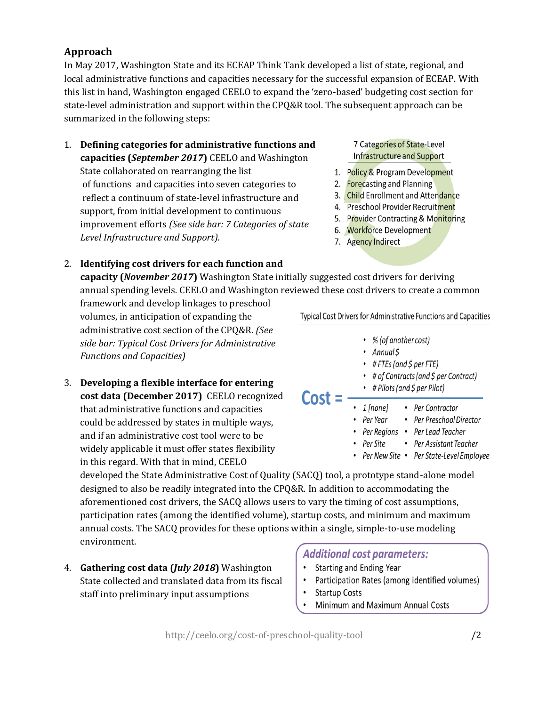# **Approach**

In May 2017, Washington State and its ECEAP Think Tank developed a list of state, regional, and local administrative functions and capacities necessary for the successful expansion of ECEAP. With this list in hand, Washington engaged CEELO to expand the 'zero-based' budgeting cost section for state-level administration and support within the CPQ&R tool. The subsequent approach can be summarized in the following steps:

1. **Defining categories for administrative functions and capacities (***September 2017***)** CEELO and Washington State collaborated on rearranging the list of functions and capacities into seven categories to reflect a continuum of state-level infrastructure and support, from initial development to continuous improvement efforts *(See side bar: 7 Categories of state Level Infrastructure and Support).*

#### 7 Categories of State-Level **Infrastructure and Support**

- 1. Policy & Program Development
- 2. Forecasting and Planning
- 3. Child Enrollment and Attendance
- 4. Preschool Provider Recruitment
- 5. Provider Contracting & Monitoring
- 6. Workforce Development
- 7. Agency Indirect

### 2. **Identifying cost drivers for each function and**

**capacity (***November 2017***)** Washington State initially suggested cost drivers for deriving annual spending levels. CEELO and Washington reviewed these cost drivers to create a common

framework and develop linkages to preschool volumes, in anticipation of expanding the administrative cost section of the CPQ&R. *(See side bar: Typical Cost Drivers for Administrative Functions and Capacities)*

3. **Developing a flexible interface for entering cost data (December 2017)** CEELO recognized that administrative functions and capacities could be addressed by states in multiple ways, and if an administrative cost tool were to be widely applicable it must offer states flexibility in this regard. With that in mind, CEELO

**Typical Cost Drivers for Administrative Functions and Capacities** 

- % (of another cost)
- Annual\$
- $\cdot$  #FTEs (and \$ per FTE)
- # of Contracts (and \$ per Contract)
- # Pilots (and  $\zeta$  per Pilot)
- $\cdot$  1 [none] • Per Contractor
- Per Year • Per Preschool Director
- Per Regions Per Lead Teacher
- Per Assistant Teacher • Per Site
- Per New Site Per State-Level Employee

developed the State Administrative Cost of Quality (SACQ) tool, a prototype stand-alone model designed to also be readily integrated into the CPQ&R. In addition to accommodating the aforementioned cost drivers, the SACQ allows users to vary the timing of cost assumptions, participation rates (among the identified volume), startup costs, and minimum and maximum annual costs. The SACQ provides for these options within a single, simple-to-use modeling environment.

4. **Gathering cost data (***July 2018***)** Washington State collected and translated data from its fiscal staff into preliminary input assumptions

# **Additional cost parameters:**

- Starting and Ending Year
- Participation Rates (among identified volumes)
- **Startup Costs**

 $Cost = -$ 

Minimum and Maximum Annual Costs